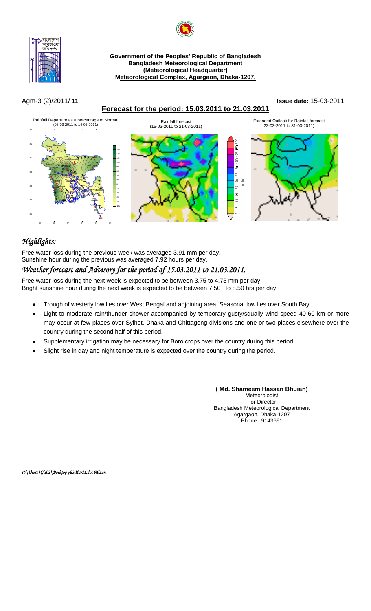

#### **Government of the Peoples' Republic of Bangladesh Bangladesh Meteorological Department (Meteorological Headquarter) Meteorological Complex, Agargaon, Dhaka-1207.**

## **Forecast for the period: 15.03.2011 to 21.03.2011**

#### Agm-3 (2)/2011/ **11 Issue date:** 15-03-2011



# *Highlights:*

Free water loss during the previous week was averaged 3.91 mm per day. Sunshine hour during the previous was averaged 7.92 hours per day.

# *Weather forecast and Advisory for the period of 15.03.2011 to 21.03.2011.*

Free water loss during the next week is expected to be between 3.75 to 4.75 mm per day. Bright sunshine hour during the next week is expected to be between 7.50 to 8.50 hrs per day.

- Trough of westerly low lies over West Bengal and adjoining area. Seasonal low lies over South Bay.
- Light to moderate rain/thunder shower accompanied by temporary gusty/squally wind speed 40-60 km or more may occur at few places over Sylhet, Dhaka and Chittagong divisions and one or two places elsewhere over the country during the second half of this period.
- Supplementary irrigation may be necessary for Boro crops over the country during this period.
- Slight rise in day and night temperature is expected over the country during the period.

**( Md. Shameem Hassan Bhuian)**  Meteorologist For Director Bangladesh Meteorological Department Agargaon, Dhaka-1207 Phone : 9143691

*C:\Users\Gis02\Desktop\B3Mar11.doc Mizan*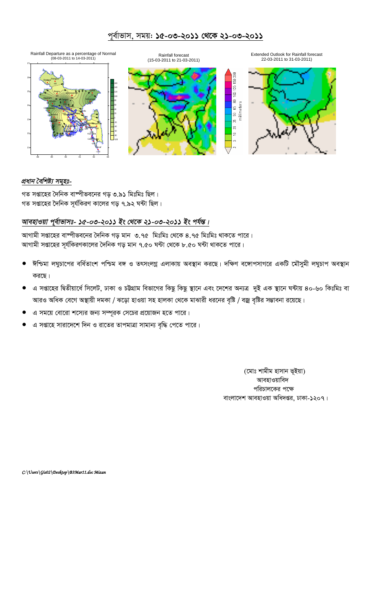## পূর্বাভাস, সময়: **১৫-০৩-২০১১ থেকে ২১-০৩-২০১১**



### *প্ৰধান বৈশিষ্ট্য সমূহঃ-*

গত সপ্তাহের দৈনিক বাষ্পীভবনের গড় ৩.৯১ মিঃমিঃ ছিল। গত সপ্তাহের দৈনিক সূর্যকিরণ কালের গড় ৭.৯২ ঘন্টা ছিল।

## *আবহাওয়া পূৰ্বাভাসঃ- ১৫-০৩-২০১১ ইং থেকে ২১-০৩-২০১১ ইং পৰ্যন্ত।*

আগামী সপ্তাহের বাস্পীভবনের দৈনিক গড় মান ৩.৭৫ মিঃমিঃ থেকে ৪.৭৫ মিঃমিঃ থাকতে পারে। আগামী সপ্তাহের সূর্যকিরণকালের দৈনিক গড় মান ৭.৫০ ঘন্টা থেকে ৮.৫০ ঘন্টা থাকতে পারে।

- ঈশ্চিমা লঘুচাপের বর্ধিতাংশ পশ্চিম বঙ্গ ও তৎসংলগ্ন এলাকায় অবস্থান করছে। দক্ষিণ বঙ্গোপসাগরে একটি মৌসুমী লঘুচাপ অবস্থান করছে।
- এ সপ্তাহের দ্বিতীয়ার্ধে সিলেট, ঢাকা ও চট্টগ্রাম বিভাগের কিছু কিছু স্থানে এবং দেশের অন্যত্র দুই এক স্থানে ঘন্টায় ৪০-৬০ কিঃমিঃ বা আরও অধিক বেগে অস্থায়ী দমকা / ঝড়ো হাওয়া সহ হালকা থেকে মাঝারী ধরনের বৃষ্টি / বজ্র বৃষ্টির সম্ভাবনা রয়েছে।
- এ সময়ে বোরো শস্যের জন্য সম্পূরক সেচের প্রয়োজন হতে পারে।
- এ সপ্তাহে সারাদেশে দিন ও রাতের তাপমাত্রা সামান্য বৃদ্ধি পেতে পারে।

(মোঃ শামীম হাসান ভূইয়া) আবহাওয়াবিদ পরিচালকের পক্ষে বাংলাদেশ আবহাওয়া অধিদপ্তর, ঢাকা-১২০৭।

*C:\Users\Gis02\Desktop\B3Mar11.doc Mizan*